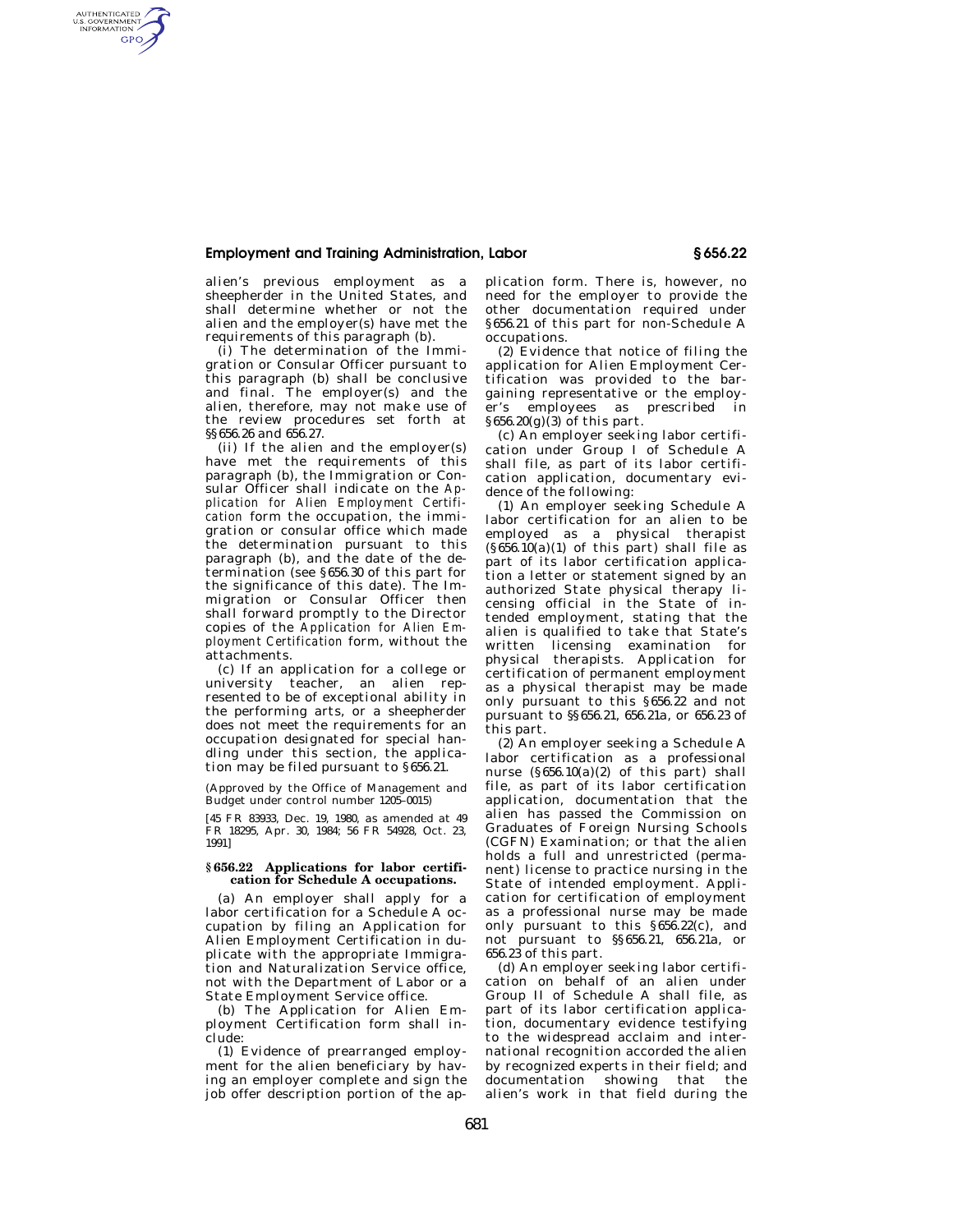## **Employment and Training Administration, Labor § 656.22**

alien's previous employment as a sheepherder in the United States, and shall determine whether or not the alien and the employer(s) have met the requirements of this paragraph (b).

AUTHENTICATED<br>U.S. GOVERNMENT<br>INFORMATION **GPO** 

> (i) The determination of the Immigration or Consular Officer pursuant to this paragraph (b) shall be conclusive and final. The employer(s) and the alien, therefore, may not make use of the review procedures set forth at §§656.26 and 656.27.

> (ii) If the alien and the employer(s) have met the requirements of this paragraph (b), the Immigration or Consular Officer shall indicate on the *Application for Alien Employment Certification* form the occupation, the immigration or consular office which made the determination pursuant to this paragraph (b), and the date of the determination (see §656.30 of this part for the significance of this date). The Immigration or Consular Officer then shall forward promptly to the Director copies of the *Application for Alien Employment Certification* form, without the attachments.

> (c) If an application for a college or university teacher, an alien represented to be of exceptional ability in the performing arts, or a sheepherder does not meet the requirements for an occupation designated for special handling under this section, the application may be filed pursuant to §656.21.

(Approved by the Office of Management and Budget under control number 1205–0015)

[45 FR 83933, Dec. 19, 1980, as amended at 49 FR 18295, Apr. 30, 1984; 56 FR 54928, Oct. 23, 1991]

## **§ 656.22 Applications for labor certification for Schedule A occupations.**

(a) An employer shall apply for a labor certification for a Schedule A occupation by filing an Application for Alien Employment Certification in duplicate with the appropriate Immigration and Naturalization Service office, not with the Department of Labor or a State Employment Service office.

(b) The Application for Alien Employment Certification form shall include:

(1) Evidence of prearranged employment for the alien beneficiary by having an employer complete and sign the job offer description portion of the ap-

plication form. There is, however, no need for the employer to provide the other documentation required under §656.21 of this part for non-Schedule A occupations.

(2) Evidence that notice of filing the application for Alien Employment Certification was provided to the bargaining representative or the employer's employees as prescribed in  $§656.20(g)(3)$  of this part.

(c) An employer seeking labor certification under Group I of Schedule A shall file, as part of its labor certification application, documentary evidence of the following:

(1) An employer seeking Schedule A labor certification for an alien to be employed as a physical therapist  $(§656.10(a)(1)$  of this part) shall file as part of its labor certification application a letter or statement signed by an authorized State physical therapy licensing official in the State of intended employment, stating that the alien is qualified to take that State's written licensing examination for physical therapists. Application for certification of permanent employment as a physical therapist may be made only pursuant to this §656.22 and not pursuant to §§656.21, 656.21a, or 656.23 of this part.

(2) An employer seeking a Schedule A labor certification as a professional nurse  $(\S 656.10(a)(2)$  of this part) shall file, as part of its labor certification application, documentation that the alien has passed the Commission on Graduates of Foreign Nursing Schools (CGFN) Examination; or that the alien holds a full and unrestricted (permanent) license to practice nursing in the State of intended employment. Application for certification of employment as a professional nurse may be made only pursuant to this §656.22(c), and not pursuant to §§656.21, 656.21a, or 656.23 of this part.

(d) An employer seeking labor certification on behalf of an alien under Group II of Schedule A shall file, as part of its labor certification application, documentary evidence testifying to the widespread acclaim and international recognition accorded the alien by recognized experts in their field; and documentation showing that the alien's work in that field during the